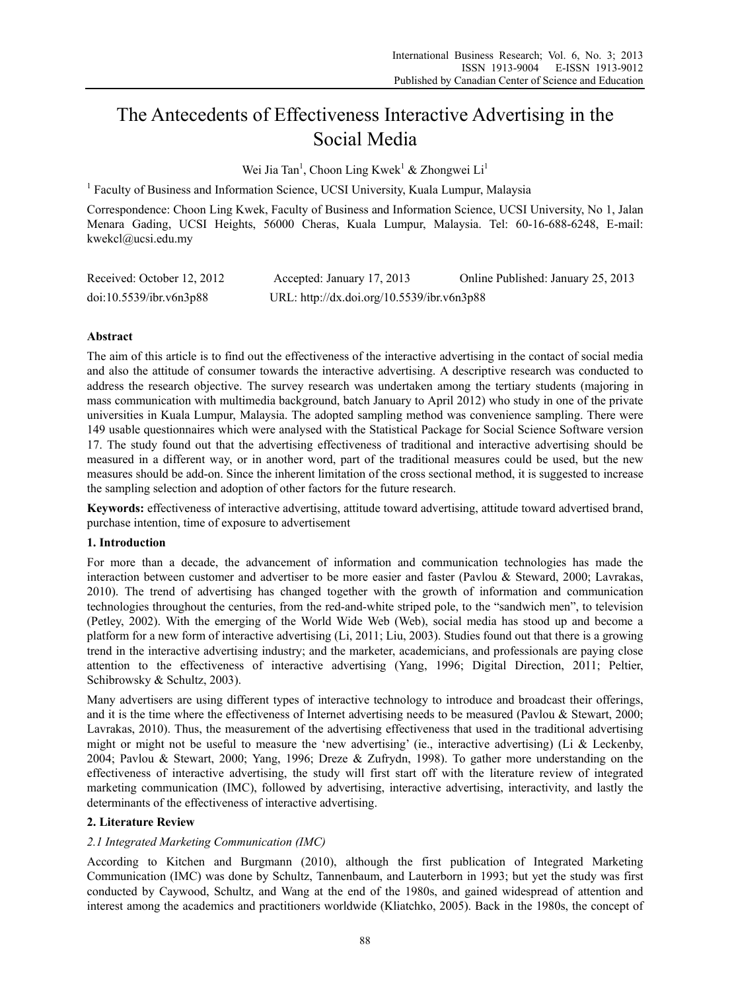# The Antecedents of Effectiveness Interactive Advertising in the Social Media

Wei Jia Tan<sup>1</sup>, Choon Ling Kwek<sup>1</sup> & Zhongwei Li<sup>1</sup>

<sup>1</sup> Faculty of Business and Information Science, UCSI University, Kuala Lumpur, Malaysia

Correspondence: Choon Ling Kwek, Faculty of Business and Information Science, UCSI University, No 1, Jalan Menara Gading, UCSI Heights, 56000 Cheras, Kuala Lumpur, Malaysia. Tel: 60-16-688-6248, E-mail: kwekcl@ucsi.edu.my

| Received: October 12, 2012 | Accepted: January 17, 2013                 | Online Published: January 25, 2013 |
|----------------------------|--------------------------------------------|------------------------------------|
| doi:10.5539/ibr.v6n3p88    | URL: http://dx.doi.org/10.5539/ibr.v6n3p88 |                                    |

# **Abstract**

The aim of this article is to find out the effectiveness of the interactive advertising in the contact of social media and also the attitude of consumer towards the interactive advertising. A descriptive research was conducted to address the research objective. The survey research was undertaken among the tertiary students (majoring in mass communication with multimedia background, batch January to April 2012) who study in one of the private universities in Kuala Lumpur, Malaysia. The adopted sampling method was convenience sampling. There were 149 usable questionnaires which were analysed with the Statistical Package for Social Science Software version 17. The study found out that the advertising effectiveness of traditional and interactive advertising should be measured in a different way, or in another word, part of the traditional measures could be used, but the new measures should be add-on. Since the inherent limitation of the cross sectional method, it is suggested to increase the sampling selection and adoption of other factors for the future research.

**Keywords:** effectiveness of interactive advertising, attitude toward advertising, attitude toward advertised brand, purchase intention, time of exposure to advertisement

## **1. Introduction**

For more than a decade, the advancement of information and communication technologies has made the interaction between customer and advertiser to be more easier and faster (Pavlou & Steward, 2000; Lavrakas, 2010). The trend of advertising has changed together with the growth of information and communication technologies throughout the centuries, from the red-and-white striped pole, to the "sandwich men", to television (Petley, 2002). With the emerging of the World Wide Web (Web), social media has stood up and become a platform for a new form of interactive advertising (Li, 2011; Liu, 2003). Studies found out that there is a growing trend in the interactive advertising industry; and the marketer, academicians, and professionals are paying close attention to the effectiveness of interactive advertising (Yang, 1996; Digital Direction, 2011; Peltier, Schibrowsky & Schultz, 2003).

Many advertisers are using different types of interactive technology to introduce and broadcast their offerings, and it is the time where the effectiveness of Internet advertising needs to be measured (Pavlou & Stewart, 2000; Lavrakas, 2010). Thus, the measurement of the advertising effectiveness that used in the traditional advertising might or might not be useful to measure the 'new advertising' (ie., interactive advertising) (Li & Leckenby, 2004; Pavlou & Stewart, 2000; Yang, 1996; Dreze & Zufrydn, 1998). To gather more understanding on the effectiveness of interactive advertising, the study will first start off with the literature review of integrated marketing communication (IMC), followed by advertising, interactive advertising, interactivity, and lastly the determinants of the effectiveness of interactive advertising.

## **2. Literature Review**

## *2.1 Integrated Marketing Communication (IMC)*

According to Kitchen and Burgmann (2010), although the first publication of Integrated Marketing Communication (IMC) was done by Schultz, Tannenbaum, and Lauterborn in 1993; but yet the study was first conducted by Caywood, Schultz, and Wang at the end of the 1980s, and gained widespread of attention and interest among the academics and practitioners worldwide (Kliatchko, 2005). Back in the 1980s, the concept of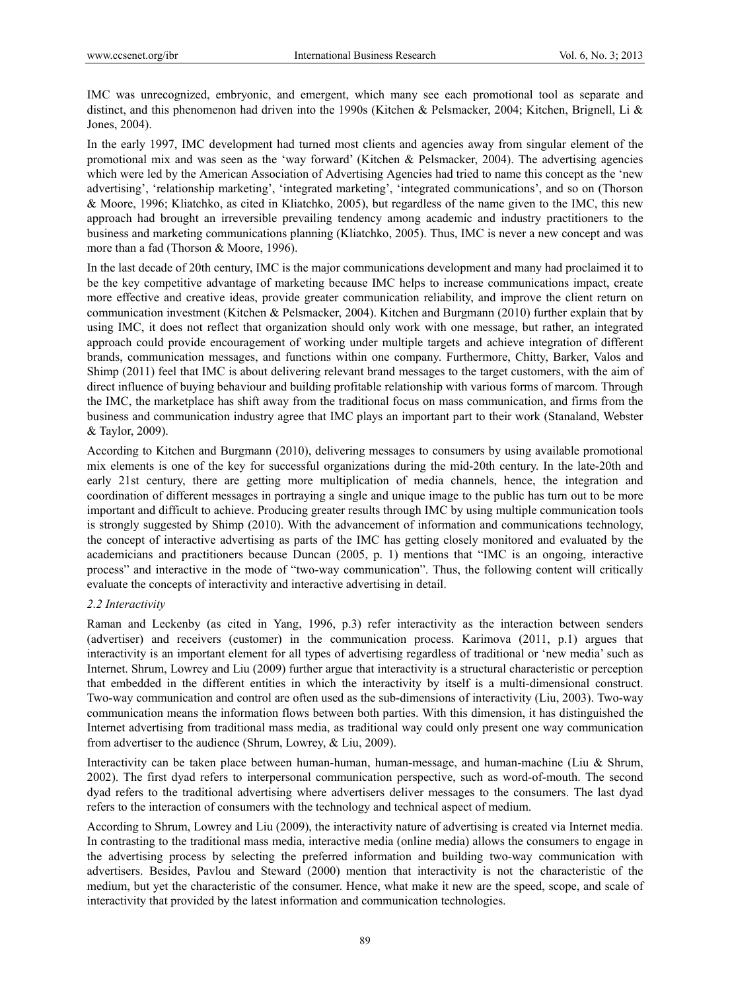IMC was unrecognized, embryonic, and emergent, which many see each promotional tool as separate and distinct, and this phenomenon had driven into the 1990s (Kitchen & Pelsmacker, 2004; Kitchen, Brignell, Li & Jones, 2004).

In the early 1997, IMC development had turned most clients and agencies away from singular element of the promotional mix and was seen as the 'way forward' (Kitchen & Pelsmacker, 2004). The advertising agencies which were led by the American Association of Advertising Agencies had tried to name this concept as the 'new advertising', 'relationship marketing', 'integrated marketing', 'integrated communications', and so on (Thorson & Moore, 1996; Kliatchko, as cited in Kliatchko, 2005), but regardless of the name given to the IMC, this new approach had brought an irreversible prevailing tendency among academic and industry practitioners to the business and marketing communications planning (Kliatchko, 2005). Thus, IMC is never a new concept and was more than a fad (Thorson & Moore, 1996).

In the last decade of 20th century, IMC is the major communications development and many had proclaimed it to be the key competitive advantage of marketing because IMC helps to increase communications impact, create more effective and creative ideas, provide greater communication reliability, and improve the client return on communication investment (Kitchen & Pelsmacker, 2004). Kitchen and Burgmann (2010) further explain that by using IMC, it does not reflect that organization should only work with one message, but rather, an integrated approach could provide encouragement of working under multiple targets and achieve integration of different brands, communication messages, and functions within one company. Furthermore, Chitty, Barker, Valos and Shimp (2011) feel that IMC is about delivering relevant brand messages to the target customers, with the aim of direct influence of buying behaviour and building profitable relationship with various forms of marcom. Through the IMC, the marketplace has shift away from the traditional focus on mass communication, and firms from the business and communication industry agree that IMC plays an important part to their work (Stanaland, Webster & Taylor, 2009).

According to Kitchen and Burgmann (2010), delivering messages to consumers by using available promotional mix elements is one of the key for successful organizations during the mid-20th century. In the late-20th and early 21st century, there are getting more multiplication of media channels, hence, the integration and coordination of different messages in portraying a single and unique image to the public has turn out to be more important and difficult to achieve. Producing greater results through IMC by using multiple communication tools is strongly suggested by Shimp (2010). With the advancement of information and communications technology, the concept of interactive advertising as parts of the IMC has getting closely monitored and evaluated by the academicians and practitioners because Duncan (2005, p. 1) mentions that "IMC is an ongoing, interactive process" and interactive in the mode of "two-way communication". Thus, the following content will critically evaluate the concepts of interactivity and interactive advertising in detail.

## *2.2 Interactivity*

Raman and Leckenby (as cited in Yang, 1996, p.3) refer interactivity as the interaction between senders (advertiser) and receivers (customer) in the communication process. Karimova (2011, p.1) argues that interactivity is an important element for all types of advertising regardless of traditional or 'new media' such as Internet. Shrum, Lowrey and Liu (2009) further argue that interactivity is a structural characteristic or perception that embedded in the different entities in which the interactivity by itself is a multi-dimensional construct. Two-way communication and control are often used as the sub-dimensions of interactivity (Liu, 2003). Two-way communication means the information flows between both parties. With this dimension, it has distinguished the Internet advertising from traditional mass media, as traditional way could only present one way communication from advertiser to the audience (Shrum, Lowrey, & Liu, 2009).

Interactivity can be taken place between human-human, human-message, and human-machine (Liu & Shrum, 2002). The first dyad refers to interpersonal communication perspective, such as word-of-mouth. The second dyad refers to the traditional advertising where advertisers deliver messages to the consumers. The last dyad refers to the interaction of consumers with the technology and technical aspect of medium.

According to Shrum, Lowrey and Liu (2009), the interactivity nature of advertising is created via Internet media. In contrasting to the traditional mass media, interactive media (online media) allows the consumers to engage in the advertising process by selecting the preferred information and building two-way communication with advertisers. Besides, Pavlou and Steward (2000) mention that interactivity is not the characteristic of the medium, but yet the characteristic of the consumer. Hence, what make it new are the speed, scope, and scale of interactivity that provided by the latest information and communication technologies.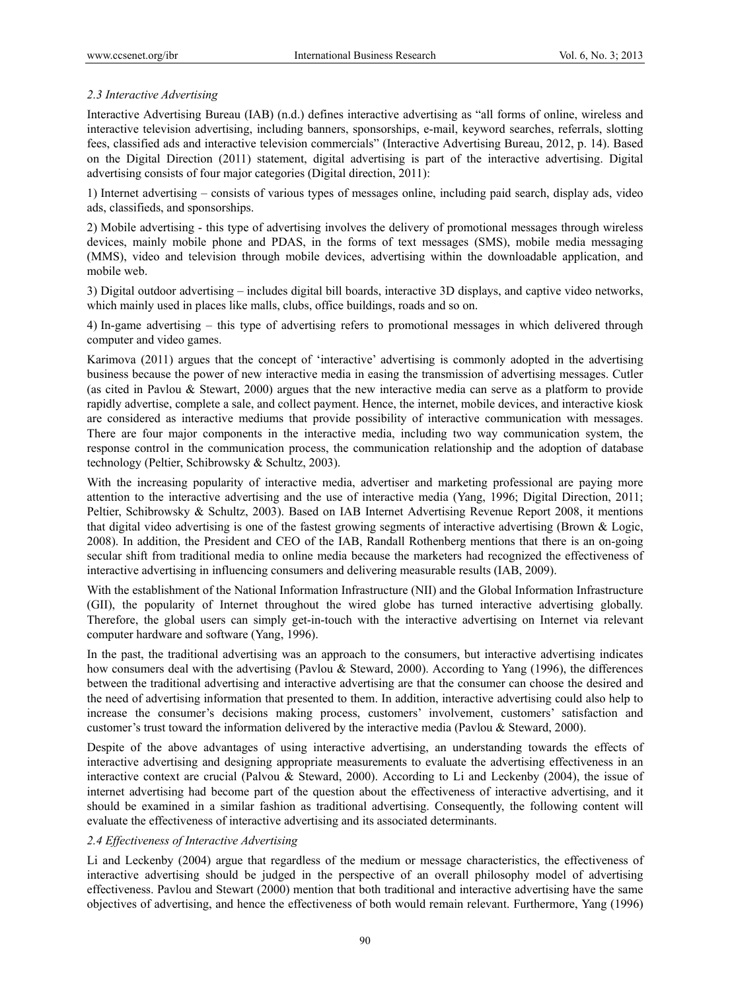# *2.3 Interactive Advertising*

Interactive Advertising Bureau (IAB) (n.d.) defines interactive advertising as "all forms of online, wireless and interactive television advertising, including banners, sponsorships, e-mail, keyword searches, referrals, slotting fees, classified ads and interactive television commercials" (Interactive Advertising Bureau, 2012, p. 14). Based on the Digital Direction (2011) statement, digital advertising is part of the interactive advertising. Digital advertising consists of four major categories (Digital direction, 2011):

1) Internet advertising – consists of various types of messages online, including paid search, display ads, video ads, classifieds, and sponsorships.

2) Mobile advertising - this type of advertising involves the delivery of promotional messages through wireless devices, mainly mobile phone and PDAS, in the forms of text messages (SMS), mobile media messaging (MMS), video and television through mobile devices, advertising within the downloadable application, and mobile web.

3) Digital outdoor advertising – includes digital bill boards, interactive 3D displays, and captive video networks, which mainly used in places like malls, clubs, office buildings, roads and so on.

4) In-game advertising – this type of advertising refers to promotional messages in which delivered through computer and video games.

Karimova (2011) argues that the concept of 'interactive' advertising is commonly adopted in the advertising business because the power of new interactive media in easing the transmission of advertising messages. Cutler (as cited in Pavlou & Stewart, 2000) argues that the new interactive media can serve as a platform to provide rapidly advertise, complete a sale, and collect payment. Hence, the internet, mobile devices, and interactive kiosk are considered as interactive mediums that provide possibility of interactive communication with messages. There are four major components in the interactive media, including two way communication system, the response control in the communication process, the communication relationship and the adoption of database technology (Peltier, Schibrowsky & Schultz, 2003).

With the increasing popularity of interactive media, advertiser and marketing professional are paying more attention to the interactive advertising and the use of interactive media (Yang, 1996; Digital Direction, 2011; Peltier, Schibrowsky & Schultz, 2003). Based on IAB Internet Advertising Revenue Report 2008, it mentions that digital video advertising is one of the fastest growing segments of interactive advertising (Brown & Logic, 2008). In addition, the President and CEO of the IAB, Randall Rothenberg mentions that there is an on-going secular shift from traditional media to online media because the marketers had recognized the effectiveness of interactive advertising in influencing consumers and delivering measurable results (IAB, 2009).

With the establishment of the National Information Infrastructure (NII) and the Global Information Infrastructure (GII), the popularity of Internet throughout the wired globe has turned interactive advertising globally. Therefore, the global users can simply get-in-touch with the interactive advertising on Internet via relevant computer hardware and software (Yang, 1996).

In the past, the traditional advertising was an approach to the consumers, but interactive advertising indicates how consumers deal with the advertising (Pavlou & Steward, 2000). According to Yang (1996), the differences between the traditional advertising and interactive advertising are that the consumer can choose the desired and the need of advertising information that presented to them. In addition, interactive advertising could also help to increase the consumer's decisions making process, customers' involvement, customers' satisfaction and customer's trust toward the information delivered by the interactive media (Pavlou & Steward, 2000).

Despite of the above advantages of using interactive advertising, an understanding towards the effects of interactive advertising and designing appropriate measurements to evaluate the advertising effectiveness in an interactive context are crucial (Palvou & Steward, 2000). According to Li and Leckenby (2004), the issue of internet advertising had become part of the question about the effectiveness of interactive advertising, and it should be examined in a similar fashion as traditional advertising. Consequently, the following content will evaluate the effectiveness of interactive advertising and its associated determinants.

## *2.4 Effectiveness of Interactive Advertising*

Li and Leckenby (2004) argue that regardless of the medium or message characteristics, the effectiveness of interactive advertising should be judged in the perspective of an overall philosophy model of advertising effectiveness. Pavlou and Stewart (2000) mention that both traditional and interactive advertising have the same objectives of advertising, and hence the effectiveness of both would remain relevant. Furthermore, Yang (1996)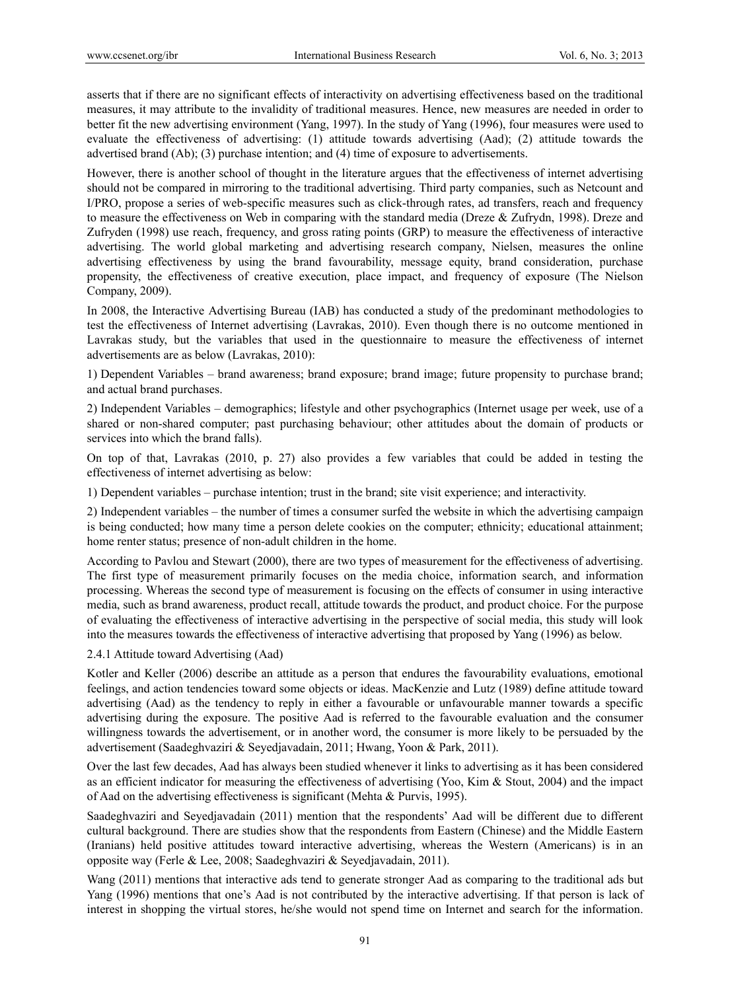asserts that if there are no significant effects of interactivity on advertising effectiveness based on the traditional measures, it may attribute to the invalidity of traditional measures. Hence, new measures are needed in order to better fit the new advertising environment (Yang, 1997). In the study of Yang (1996), four measures were used to evaluate the effectiveness of advertising: (1) attitude towards advertising (Aad); (2) attitude towards the advertised brand (Ab); (3) purchase intention; and (4) time of exposure to advertisements.

However, there is another school of thought in the literature argues that the effectiveness of internet advertising should not be compared in mirroring to the traditional advertising. Third party companies, such as Netcount and I/PRO, propose a series of web-specific measures such as click-through rates, ad transfers, reach and frequency to measure the effectiveness on Web in comparing with the standard media (Dreze & Zufrydn, 1998). Dreze and Zufryden (1998) use reach, frequency, and gross rating points (GRP) to measure the effectiveness of interactive advertising. The world global marketing and advertising research company, Nielsen, measures the online advertising effectiveness by using the brand favourability, message equity, brand consideration, purchase propensity, the effectiveness of creative execution, place impact, and frequency of exposure (The Nielson Company, 2009).

In 2008, the Interactive Advertising Bureau (IAB) has conducted a study of the predominant methodologies to test the effectiveness of Internet advertising (Lavrakas, 2010). Even though there is no outcome mentioned in Lavrakas study, but the variables that used in the questionnaire to measure the effectiveness of internet advertisements are as below (Lavrakas, 2010):

1) Dependent Variables – brand awareness; brand exposure; brand image; future propensity to purchase brand; and actual brand purchases.

2) Independent Variables – demographics; lifestyle and other psychographics (Internet usage per week, use of a shared or non-shared computer; past purchasing behaviour; other attitudes about the domain of products or services into which the brand falls).

On top of that, Lavrakas (2010, p. 27) also provides a few variables that could be added in testing the effectiveness of internet advertising as below:

1) Dependent variables – purchase intention; trust in the brand; site visit experience; and interactivity.

2) Independent variables – the number of times a consumer surfed the website in which the advertising campaign is being conducted; how many time a person delete cookies on the computer; ethnicity; educational attainment; home renter status; presence of non-adult children in the home.

According to Pavlou and Stewart (2000), there are two types of measurement for the effectiveness of advertising. The first type of measurement primarily focuses on the media choice, information search, and information processing. Whereas the second type of measurement is focusing on the effects of consumer in using interactive media, such as brand awareness, product recall, attitude towards the product, and product choice. For the purpose of evaluating the effectiveness of interactive advertising in the perspective of social media, this study will look into the measures towards the effectiveness of interactive advertising that proposed by Yang (1996) as below.

## 2.4.1 Attitude toward Advertising (Aad)

Kotler and Keller (2006) describe an attitude as a person that endures the favourability evaluations, emotional feelings, and action tendencies toward some objects or ideas. MacKenzie and Lutz (1989) define attitude toward advertising (Aad) as the tendency to reply in either a favourable or unfavourable manner towards a specific advertising during the exposure. The positive Aad is referred to the favourable evaluation and the consumer willingness towards the advertisement, or in another word, the consumer is more likely to be persuaded by the advertisement (Saadeghvaziri & Seyedjavadain, 2011; Hwang, Yoon & Park, 2011).

Over the last few decades, Aad has always been studied whenever it links to advertising as it has been considered as an efficient indicator for measuring the effectiveness of advertising (Yoo, Kim & Stout, 2004) and the impact of Aad on the advertising effectiveness is significant (Mehta & Purvis, 1995).

Saadeghvaziri and Seyedjavadain (2011) mention that the respondents' Aad will be different due to different cultural background. There are studies show that the respondents from Eastern (Chinese) and the Middle Eastern (Iranians) held positive attitudes toward interactive advertising, whereas the Western (Americans) is in an opposite way (Ferle & Lee, 2008; Saadeghvaziri & Seyedjavadain, 2011).

Wang (2011) mentions that interactive ads tend to generate stronger Aad as comparing to the traditional ads but Yang (1996) mentions that one's Aad is not contributed by the interactive advertising. If that person is lack of interest in shopping the virtual stores, he/she would not spend time on Internet and search for the information.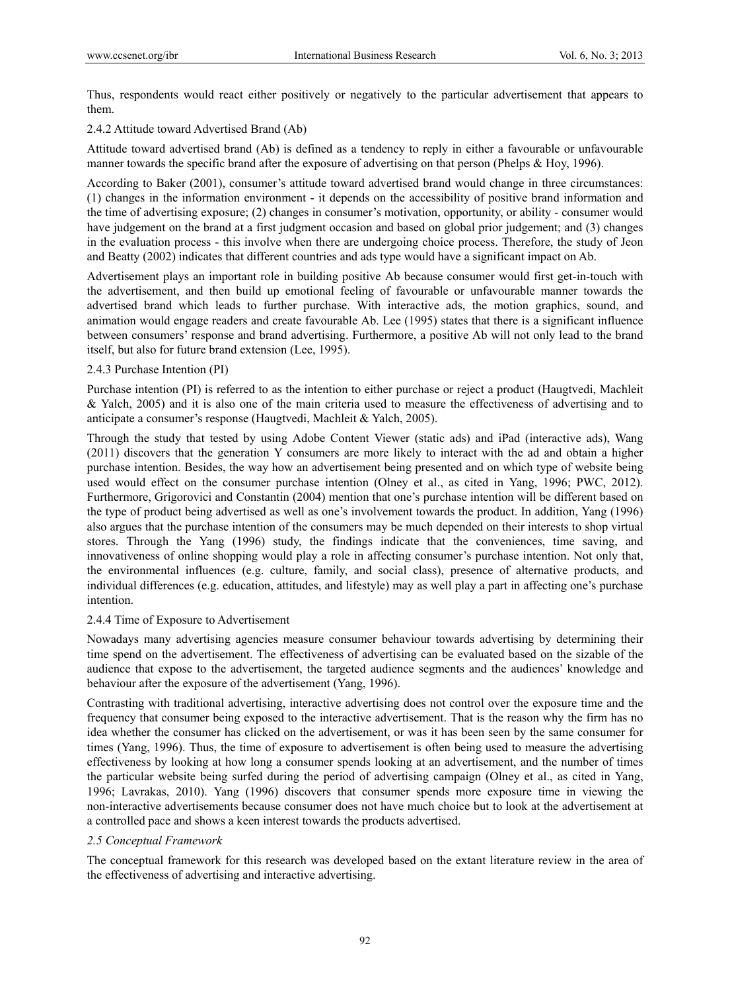Thus, respondents would react either positively or negatively to the particular advertisement that appears to them.

# 2.4.2 Attitude toward Advertised Brand (Ab)

Attitude toward advertised brand (Ab) is defined as a tendency to reply in either a favourable or unfavourable manner towards the specific brand after the exposure of advertising on that person (Phelps & Hoy, 1996).

According to Baker (2001), consumer's attitude toward advertised brand would change in three circumstances: (1) changes in the information environment - it depends on the accessibility of positive brand information and the time of advertising exposure; (2) changes in consumer's motivation, opportunity, or ability - consumer would have judgement on the brand at a first judgment occasion and based on global prior judgement; and (3) changes in the evaluation process - this involve when there are undergoing choice process. Therefore, the study of Jeon and Beatty (2002) indicates that different countries and ads type would have a significant impact on Ab.

Advertisement plays an important role in building positive Ab because consumer would first get-in-touch with the advertisement, and then build up emotional feeling of favourable or unfavourable manner towards the advertised brand which leads to further purchase. With interactive ads, the motion graphics, sound, and animation would engage readers and create favourable Ab. Lee (1995) states that there is a significant influence between consumers' response and brand advertising. Furthermore, a positive Ab will not only lead to the brand itself, but also for future brand extension (Lee, 1995).

## 2.4.3 Purchase Intention (PI)

Purchase intention (PI) is referred to as the intention to either purchase or reject a product (Haugtvedi, Machleit & Yalch, 2005) and it is also one of the main criteria used to measure the effectiveness of advertising and to anticipate a consumer's response (Haugtvedi, Machleit & Yalch, 2005).

Through the study that tested by using Adobe Content Viewer (static ads) and iPad (interactive ads), Wang (2011) discovers that the generation Y consumers are more likely to interact with the ad and obtain a higher purchase intention. Besides, the way how an advertisement being presented and on which type of website being used would effect on the consumer purchase intention (Olney et al., as cited in Yang, 1996; PWC, 2012). Furthermore, Grigorovici and Constantin (2004) mention that one's purchase intention will be different based on the type of product being advertised as well as one's involvement towards the product. In addition, Yang (1996) also argues that the purchase intention of the consumers may be much depended on their interests to shop virtual stores. Through the Yang (1996) study, the findings indicate that the conveniences, time saving, and innovativeness of online shopping would play a role in affecting consumer's purchase intention. Not only that, the environmental influences (e.g. culture, family, and social class), presence of alternative products, and individual differences (e.g. education, attitudes, and lifestyle) may as well play a part in affecting one's purchase intention.

## 2.4.4 Time of Exposure to Advertisement

Nowadays many advertising agencies measure consumer behaviour towards advertising by determining their time spend on the advertisement. The effectiveness of advertising can be evaluated based on the sizable of the audience that expose to the advertisement, the targeted audience segments and the audiences' knowledge and behaviour after the exposure of the advertisement (Yang, 1996).

Contrasting with traditional advertising, interactive advertising does not control over the exposure time and the frequency that consumer being exposed to the interactive advertisement. That is the reason why the firm has no idea whether the consumer has clicked on the advertisement, or was it has been seen by the same consumer for times (Yang, 1996). Thus, the time of exposure to advertisement is often being used to measure the advertising effectiveness by looking at how long a consumer spends looking at an advertisement, and the number of times the particular website being surfed during the period of advertising campaign (Olney et al., as cited in Yang, 1996; Lavrakas, 2010). Yang (1996) discovers that consumer spends more exposure time in viewing the non-interactive advertisements because consumer does not have much choice but to look at the advertisement at a controlled pace and shows a keen interest towards the products advertised.

# *2.5 Conceptual Framework*

The conceptual framework for this research was developed based on the extant literature review in the area of the effectiveness of advertising and interactive advertising.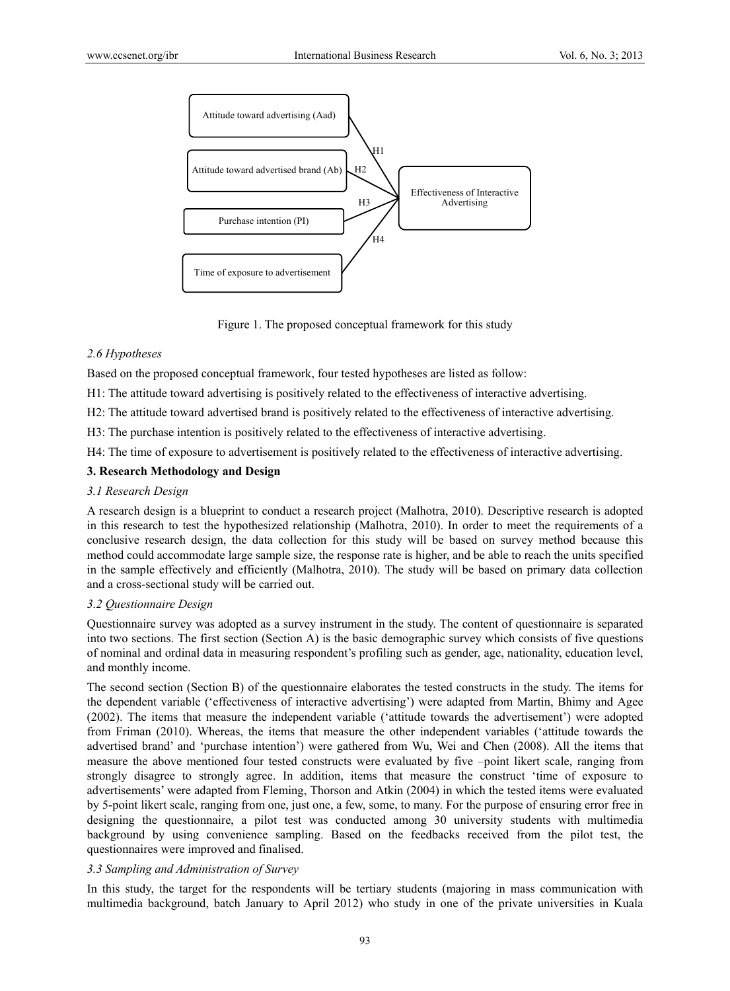

Figure 1. The proposed conceptual framework for this study

## *2.6 Hypotheses*

Based on the proposed conceptual framework, four tested hypotheses are listed as follow:

H1: The attitude toward advertising is positively related to the effectiveness of interactive advertising.

H2: The attitude toward advertised brand is positively related to the effectiveness of interactive advertising.

H3: The purchase intention is positively related to the effectiveness of interactive advertising.

H4: The time of exposure to advertisement is positively related to the effectiveness of interactive advertising.

## **3. Research Methodology and Design**

#### *3.1 Research Design*

A research design is a blueprint to conduct a research project (Malhotra, 2010). Descriptive research is adopted in this research to test the hypothesized relationship (Malhotra, 2010). In order to meet the requirements of a conclusive research design, the data collection for this study will be based on survey method because this method could accommodate large sample size, the response rate is higher, and be able to reach the units specified in the sample effectively and efficiently (Malhotra, 2010). The study will be based on primary data collection and a cross-sectional study will be carried out.

## *3.2 Questionnaire Design*

Questionnaire survey was adopted as a survey instrument in the study. The content of questionnaire is separated into two sections. The first section (Section A) is the basic demographic survey which consists of five questions of nominal and ordinal data in measuring respondent's profiling such as gender, age, nationality, education level, and monthly income.

The second section (Section B) of the questionnaire elaborates the tested constructs in the study. The items for the dependent variable ('effectiveness of interactive advertising') were adapted from Martin, Bhimy and Agee (2002). The items that measure the independent variable ('attitude towards the advertisement') were adopted from Friman (2010). Whereas, the items that measure the other independent variables ('attitude towards the advertised brand' and 'purchase intention') were gathered from Wu, Wei and Chen (2008). All the items that measure the above mentioned four tested constructs were evaluated by five –point likert scale, ranging from strongly disagree to strongly agree. In addition, items that measure the construct 'time of exposure to advertisements' were adapted from Fleming, Thorson and Atkin (2004) in which the tested items were evaluated by 5-point likert scale, ranging from one, just one, a few, some, to many. For the purpose of ensuring error free in designing the questionnaire, a pilot test was conducted among 30 university students with multimedia background by using convenience sampling. Based on the feedbacks received from the pilot test, the questionnaires were improved and finalised.

## *3.3 Sampling and Administration of Survey*

In this study, the target for the respondents will be tertiary students (majoring in mass communication with multimedia background, batch January to April 2012) who study in one of the private universities in Kuala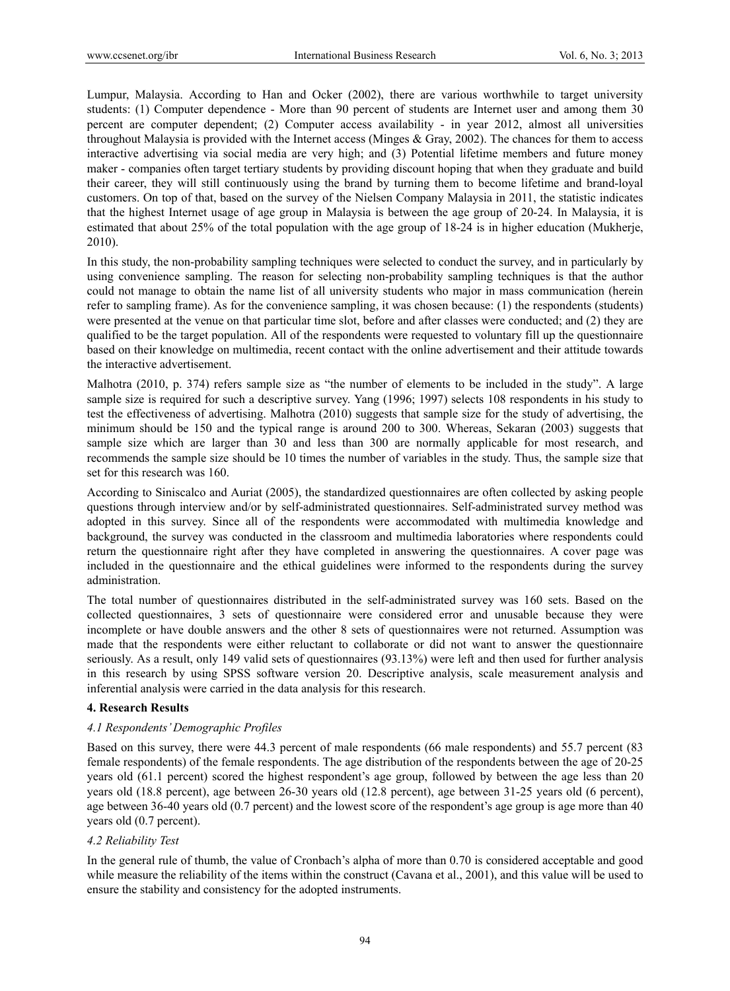Lumpur, Malaysia. According to Han and Ocker (2002), there are various worthwhile to target university students: (1) Computer dependence - More than 90 percent of students are Internet user and among them 30 percent are computer dependent; (2) Computer access availability - in year 2012, almost all universities throughout Malaysia is provided with the Internet access (Minges & Gray, 2002). The chances for them to access interactive advertising via social media are very high; and (3) Potential lifetime members and future money maker - companies often target tertiary students by providing discount hoping that when they graduate and build their career, they will still continuously using the brand by turning them to become lifetime and brand-loyal customers. On top of that, based on the survey of the Nielsen Company Malaysia in 2011, the statistic indicates that the highest Internet usage of age group in Malaysia is between the age group of 20-24. In Malaysia, it is estimated that about 25% of the total population with the age group of 18-24 is in higher education (Mukherje, 2010).

In this study, the non-probability sampling techniques were selected to conduct the survey, and in particularly by using convenience sampling. The reason for selecting non-probability sampling techniques is that the author could not manage to obtain the name list of all university students who major in mass communication (herein refer to sampling frame). As for the convenience sampling, it was chosen because: (1) the respondents (students) were presented at the venue on that particular time slot, before and after classes were conducted; and (2) they are qualified to be the target population. All of the respondents were requested to voluntary fill up the questionnaire based on their knowledge on multimedia, recent contact with the online advertisement and their attitude towards the interactive advertisement.

Malhotra (2010, p. 374) refers sample size as "the number of elements to be included in the study". A large sample size is required for such a descriptive survey. Yang (1996; 1997) selects 108 respondents in his study to test the effectiveness of advertising. Malhotra (2010) suggests that sample size for the study of advertising, the minimum should be 150 and the typical range is around 200 to 300. Whereas, Sekaran (2003) suggests that sample size which are larger than 30 and less than 300 are normally applicable for most research, and recommends the sample size should be 10 times the number of variables in the study. Thus, the sample size that set for this research was 160.

According to Siniscalco and Auriat (2005), the standardized questionnaires are often collected by asking people questions through interview and/or by self-administrated questionnaires. Self-administrated survey method was adopted in this survey. Since all of the respondents were accommodated with multimedia knowledge and background, the survey was conducted in the classroom and multimedia laboratories where respondents could return the questionnaire right after they have completed in answering the questionnaires. A cover page was included in the questionnaire and the ethical guidelines were informed to the respondents during the survey administration.

The total number of questionnaires distributed in the self-administrated survey was 160 sets. Based on the collected questionnaires, 3 sets of questionnaire were considered error and unusable because they were incomplete or have double answers and the other 8 sets of questionnaires were not returned. Assumption was made that the respondents were either reluctant to collaborate or did not want to answer the questionnaire seriously. As a result, only 149 valid sets of questionnaires (93.13%) were left and then used for further analysis in this research by using SPSS software version 20. Descriptive analysis, scale measurement analysis and inferential analysis were carried in the data analysis for this research.

## **4. Research Results**

## *4.1 Respondents' Demographic Profiles*

Based on this survey, there were 44.3 percent of male respondents (66 male respondents) and 55.7 percent (83 female respondents) of the female respondents. The age distribution of the respondents between the age of 20-25 years old (61.1 percent) scored the highest respondent's age group, followed by between the age less than 20 years old (18.8 percent), age between 26-30 years old (12.8 percent), age between 31-25 years old (6 percent), age between 36-40 years old (0.7 percent) and the lowest score of the respondent's age group is age more than 40 years old (0.7 percent).

# *4.2 Reliability Test*

In the general rule of thumb, the value of Cronbach's alpha of more than 0.70 is considered acceptable and good while measure the reliability of the items within the construct (Cavana et al., 2001), and this value will be used to ensure the stability and consistency for the adopted instruments.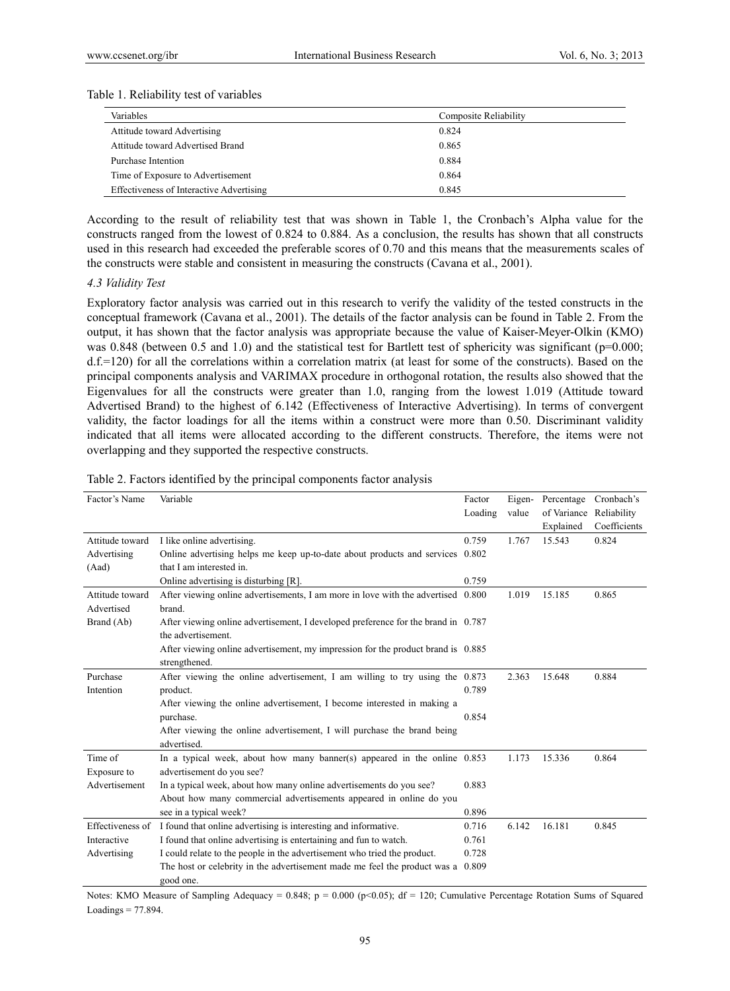#### Table 1. Reliability test of variables

| Variables<br>Composite Reliability              |       |
|-------------------------------------------------|-------|
| Attitude toward Advertising                     | 0.824 |
| Attitude toward Advertised Brand                | 0.865 |
| Purchase Intention                              | 0.884 |
| Time of Exposure to Advertisement               | 0.864 |
| <b>Effectiveness of Interactive Advertising</b> | 0.845 |

According to the result of reliability test that was shown in Table 1, the Cronbach's Alpha value for the constructs ranged from the lowest of 0.824 to 0.884. As a conclusion, the results has shown that all constructs used in this research had exceeded the preferable scores of 0.70 and this means that the measurements scales of the constructs were stable and consistent in measuring the constructs (Cavana et al., 2001).

#### *4.3 Validity Test*

Exploratory factor analysis was carried out in this research to verify the validity of the tested constructs in the conceptual framework (Cavana et al., 2001). The details of the factor analysis can be found in Table 2. From the output, it has shown that the factor analysis was appropriate because the value of Kaiser-Meyer-Olkin (KMO) was 0.848 (between 0.5 and 1.0) and the statistical test for Bartlett test of sphericity was significant ( $p=0.000$ ; d.f.=120) for all the correlations within a correlation matrix (at least for some of the constructs). Based on the principal components analysis and VARIMAX procedure in orthogonal rotation, the results also showed that the Eigenvalues for all the constructs were greater than 1.0, ranging from the lowest 1.019 (Attitude toward Advertised Brand) to the highest of 6.142 (Effectiveness of Interactive Advertising). In terms of convergent validity, the factor loadings for all the items within a construct were more than 0.50. Discriminant validity indicated that all items were allocated according to the different constructs. Therefore, the items were not overlapping and they supported the respective constructs.

| Factor's Name    | Variable                                                                          | Factor  | Eigen- | Percentage              | Cronbach's   |
|------------------|-----------------------------------------------------------------------------------|---------|--------|-------------------------|--------------|
|                  |                                                                                   | Loading | value  | of Variance Reliability |              |
|                  |                                                                                   |         |        | Explained               | Coefficients |
| Attitude toward  | I like online advertising.                                                        | 0.759   | 1.767  | 15.543                  | 0.824        |
| Advertising      | Online advertising helps me keep up-to-date about products and services 0.802     |         |        |                         |              |
| (Aad)            | that I am interested in.                                                          |         |        |                         |              |
|                  | Online advertising is disturbing [R].                                             | 0.759   |        |                         |              |
| Attitude toward  | After viewing online advertisements, I am more in love with the advertised 0.800  |         | 1.019  | 15.185                  | 0.865        |
| Advertised       | brand.                                                                            |         |        |                         |              |
| Brand (Ab)       | After viewing online advertisement, I developed preference for the brand in 0.787 |         |        |                         |              |
|                  | the advertisement.                                                                |         |        |                         |              |
|                  | After viewing online advertisement, my impression for the product brand is 0.885  |         |        |                         |              |
|                  | strengthened.                                                                     |         |        |                         |              |
| Purchase         | After viewing the online advertisement, I am willing to try using the $0.873$     |         | 2.363  | 15.648                  | 0.884        |
| Intention        | product.                                                                          | 0.789   |        |                         |              |
|                  | After viewing the online advertisement, I become interested in making a           |         |        |                         |              |
|                  | purchase.                                                                         | 0.854   |        |                         |              |
|                  | After viewing the online advertisement, I will purchase the brand being           |         |        |                         |              |
|                  | advertised.                                                                       |         |        |                         |              |
| Time of          | In a typical week, about how many banner(s) appeared in the online $0.853$        |         | 1.173  | 15.336                  | 0.864        |
| Exposure to      | advertisement do you see?                                                         |         |        |                         |              |
| Advertisement    | In a typical week, about how many online advertisements do you see?               | 0.883   |        |                         |              |
|                  | About how many commercial advertisements appeared in online do you                |         |        |                         |              |
|                  | see in a typical week?                                                            | 0.896   |        |                         |              |
| Effectiveness of | I found that online advertising is interesting and informative.                   | 0.716   | 6.142  | 16.181                  | 0.845        |
| Interactive      | I found that online advertising is entertaining and fun to watch.                 | 0.761   |        |                         |              |
| Advertising      | I could relate to the people in the advertisement who tried the product.          | 0.728   |        |                         |              |
|                  | The host or celebrity in the advertisement made me feel the product was a         | 0.809   |        |                         |              |
|                  | good one.                                                                         |         |        |                         |              |

Table 2. Factors identified by the principal components factor analysis

Notes: KMO Measure of Sampling Adequacy = 0.848;  $p = 0.000$  (p<0.05); df = 120; Cumulative Percentage Rotation Sums of Squared Loadings = 77.894.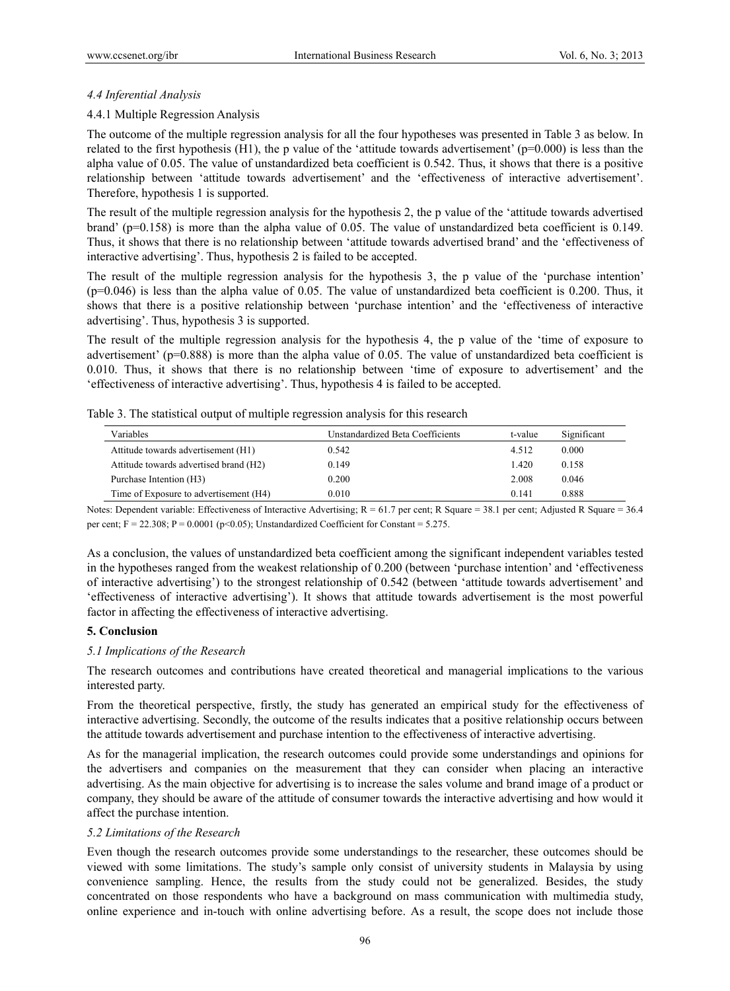## *4.4 Inferential Analysis*

## 4.4.1 Multiple Regression Analysis

The outcome of the multiple regression analysis for all the four hypotheses was presented in Table 3 as below. In related to the first hypothesis (H1), the p value of the 'attitude towards advertisement' ( $p=0.000$ ) is less than the alpha value of 0.05. The value of unstandardized beta coefficient is 0.542. Thus, it shows that there is a positive relationship between 'attitude towards advertisement' and the 'effectiveness of interactive advertisement'. Therefore, hypothesis 1 is supported.

The result of the multiple regression analysis for the hypothesis 2, the p value of the 'attitude towards advertised brand' (p=0.158) is more than the alpha value of 0.05. The value of unstandardized beta coefficient is 0.149. Thus, it shows that there is no relationship between 'attitude towards advertised brand' and the 'effectiveness of interactive advertising'. Thus, hypothesis 2 is failed to be accepted.

The result of the multiple regression analysis for the hypothesis 3, the p value of the 'purchase intention' (p=0.046) is less than the alpha value of 0.05. The value of unstandardized beta coefficient is 0.200. Thus, it shows that there is a positive relationship between 'purchase intention' and the 'effectiveness of interactive advertising'. Thus, hypothesis 3 is supported.

The result of the multiple regression analysis for the hypothesis 4, the p value of the 'time of exposure to advertisement' (p=0.888) is more than the alpha value of 0.05. The value of unstandardized beta coefficient is 0.010. Thus, it shows that there is no relationship between 'time of exposure to advertisement' and the 'effectiveness of interactive advertising'. Thus, hypothesis 4 is failed to be accepted.

| Variables                              | Unstandardized Beta Coefficients | t-value | Significant |
|----------------------------------------|----------------------------------|---------|-------------|
| Attitude towards advertisement (H1)    | 0.542                            | 4.512   | 0.000       |
| Attitude towards advertised brand (H2) | 0.149                            | $-420$  | 0.158       |
| Purchase Intention (H3)                | 0.200                            | 2.008   | 0.046       |
| Time of Exposure to advertisement (H4) | 0.010                            | 0.141   | 0.888       |

Table 3. The statistical output of multiple regression analysis for this research

Notes: Dependent variable: Effectiveness of Interactive Advertising; R = 61.7 per cent; R Square = 38.1 per cent; Adjusted R Square = 36.4 per cent;  $F = 22.308$ ;  $P = 0.0001$  (p<0.05); Unstandardized Coefficient for Constant = 5.275.

As a conclusion, the values of unstandardized beta coefficient among the significant independent variables tested in the hypotheses ranged from the weakest relationship of 0.200 (between 'purchase intention' and 'effectiveness of interactive advertising') to the strongest relationship of 0.542 (between 'attitude towards advertisement' and 'effectiveness of interactive advertising'). It shows that attitude towards advertisement is the most powerful factor in affecting the effectiveness of interactive advertising.

## **5. Conclusion**

## *5.1 Implications of the Research*

The research outcomes and contributions have created theoretical and managerial implications to the various interested party.

From the theoretical perspective, firstly, the study has generated an empirical study for the effectiveness of interactive advertising. Secondly, the outcome of the results indicates that a positive relationship occurs between the attitude towards advertisement and purchase intention to the effectiveness of interactive advertising.

As for the managerial implication, the research outcomes could provide some understandings and opinions for the advertisers and companies on the measurement that they can consider when placing an interactive advertising. As the main objective for advertising is to increase the sales volume and brand image of a product or company, they should be aware of the attitude of consumer towards the interactive advertising and how would it affect the purchase intention.

#### *5.2 Limitations of the Research*

Even though the research outcomes provide some understandings to the researcher, these outcomes should be viewed with some limitations. The study's sample only consist of university students in Malaysia by using convenience sampling. Hence, the results from the study could not be generalized. Besides, the study concentrated on those respondents who have a background on mass communication with multimedia study, online experience and in-touch with online advertising before. As a result, the scope does not include those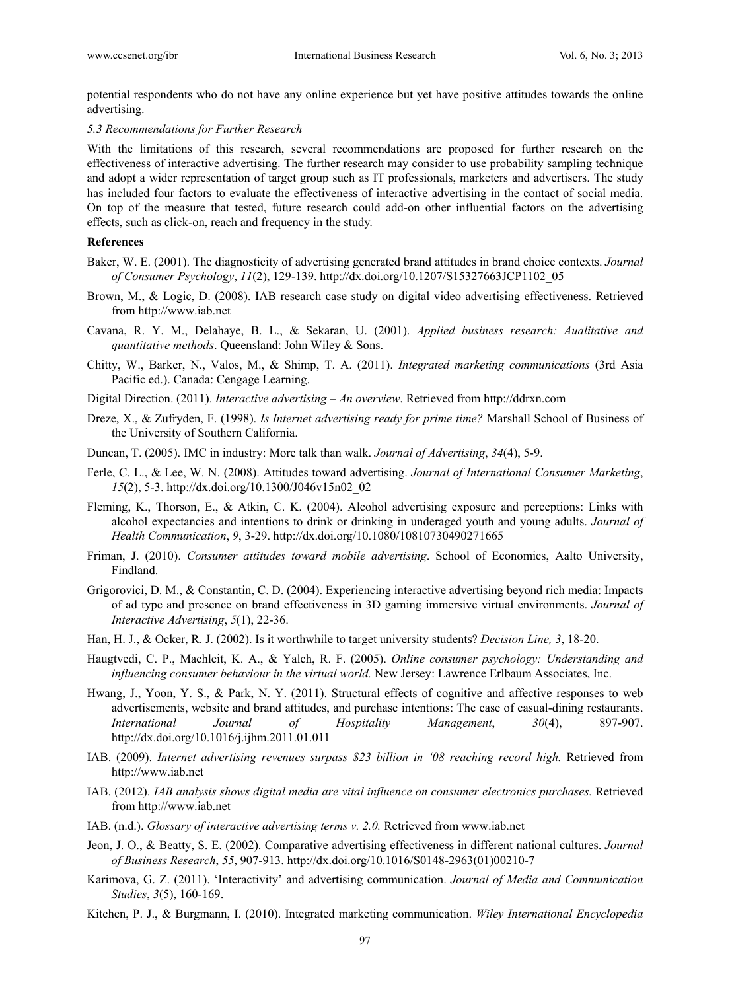potential respondents who do not have any online experience but yet have positive attitudes towards the online advertising.

#### *5.3 Recommendations for Further Research*

With the limitations of this research, several recommendations are proposed for further research on the effectiveness of interactive advertising. The further research may consider to use probability sampling technique and adopt a wider representation of target group such as IT professionals, marketers and advertisers. The study has included four factors to evaluate the effectiveness of interactive advertising in the contact of social media. On top of the measure that tested, future research could add-on other influential factors on the advertising effects, such as click-on, reach and frequency in the study.

#### **References**

- Baker, W. E. (2001). The diagnosticity of advertising generated brand attitudes in brand choice contexts. *Journal of Consumer Psychology*, *11*(2), 129-139. http://dx.doi.org/10.1207/S15327663JCP1102\_05
- Brown, M., & Logic, D. (2008). IAB research case study on digital video advertising effectiveness. Retrieved from http://www.iab.net
- Cavana, R. Y. M., Delahaye, B. L., & Sekaran, U. (2001). *Applied business research: Aualitative and quantitative methods*. Queensland: John Wiley & Sons.
- Chitty, W., Barker, N., Valos, M., & Shimp, T. A. (2011). *Integrated marketing communications* (3rd Asia Pacific ed.). Canada: Cengage Learning.
- Digital Direction. (2011). *Interactive advertising An overview*. Retrieved from http://ddrxn.com
- Dreze, X., & Zufryden, F. (1998). *Is Internet advertising ready for prime time?* Marshall School of Business of the University of Southern California.
- Duncan, T. (2005). IMC in industry: More talk than walk. *Journal of Advertising*, *34*(4), 5-9.
- Ferle, C. L., & Lee, W. N. (2008). Attitudes toward advertising. *Journal of International Consumer Marketing*, *15*(2), 5-3. http://dx.doi.org/10.1300/J046v15n02\_02
- Fleming, K., Thorson, E., & Atkin, C. K. (2004). Alcohol advertising exposure and perceptions: Links with alcohol expectancies and intentions to drink or drinking in underaged youth and young adults. *Journal of Health Communication*, *9*, 3-29. http://dx.doi.org/10.1080/10810730490271665
- Friman, J. (2010). *Consumer attitudes toward mobile advertising*. School of Economics, Aalto University, Findland.
- Grigorovici, D. M., & Constantin, C. D. (2004). Experiencing interactive advertising beyond rich media: Impacts of ad type and presence on brand effectiveness in 3D gaming immersive virtual environments. *Journal of Interactive Advertising*, *5*(1), 22-36.
- Han, H. J., & Ocker, R. J. (2002). Is it worthwhile to target university students? *Decision Line, 3*, 18-20.
- Haugtvedi, C. P., Machleit, K. A., & Yalch, R. F. (2005). *Online consumer psychology: Understanding and influencing consumer behaviour in the virtual world.* New Jersey: Lawrence Erlbaum Associates, Inc.
- Hwang, J., Yoon, Y. S., & Park, N. Y. (2011). Structural effects of cognitive and affective responses to web advertisements, website and brand attitudes, and purchase intentions: The case of casual-dining restaurants. *International Journal of Hospitality Management*, *30*(4), 897-907. http://dx.doi.org/10.1016/j.ijhm.2011.01.011
- IAB. (2009). *Internet advertising revenues surpass \$23 billion in '08 reaching record high.* Retrieved from http://www.iab.net
- IAB. (2012). *IAB analysis shows digital media are vital influence on consumer electronics purchases.* Retrieved from http://www.iab.net
- IAB. (n.d.). *Glossary of interactive advertising terms v. 2.0.* Retrieved from www.iab.net
- Jeon, J. O., & Beatty, S. E. (2002). Comparative advertising effectiveness in different national cultures. *Journal of Business Research*, *55*, 907-913. http://dx.doi.org/10.1016/S0148-2963(01)00210-7
- Karimova, G. Z. (2011). 'Interactivity' and advertising communication. *Journal of Media and Communication Studies*, *3*(5), 160-169.
- Kitchen, P. J., & Burgmann, I. (2010). Integrated marketing communication. *Wiley International Encyclopedia*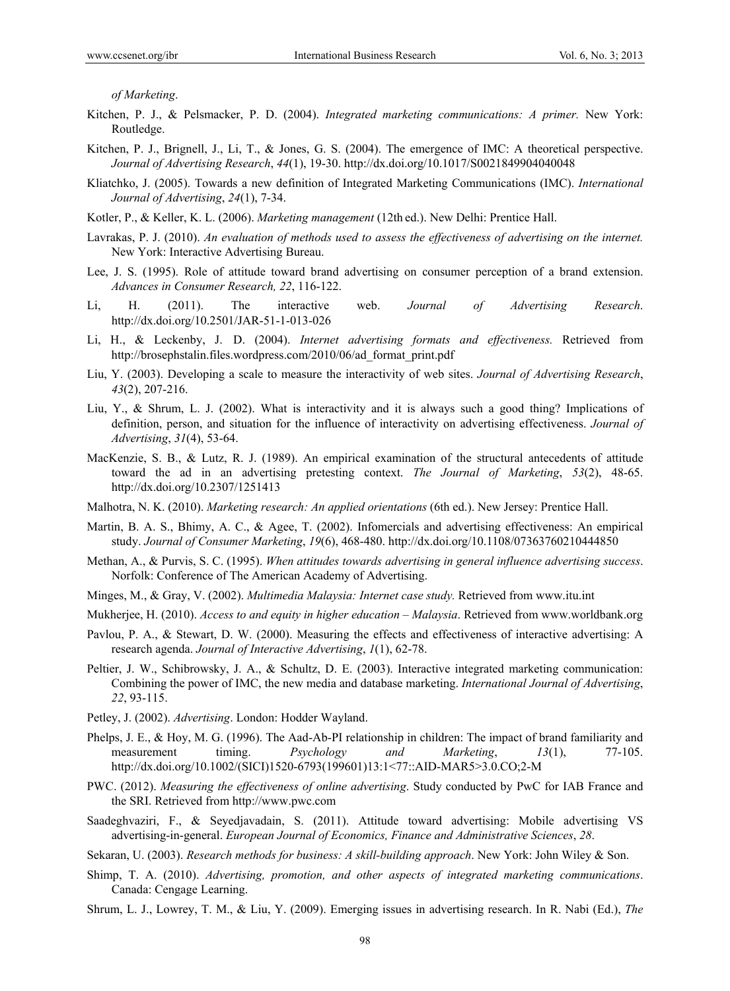*of Marketing*.

- Kitchen, P. J., & Pelsmacker, P. D. (2004). *Integrated marketing communications: A primer.* New York: Routledge.
- Kitchen, P. J., Brignell, J., Li, T., & Jones, G. S. (2004). The emergence of IMC: A theoretical perspective. *Journal of Advertising Research*, *44*(1), 19-30. http://dx.doi.org/10.1017/S0021849904040048
- Kliatchko, J. (2005). Towards a new definition of Integrated Marketing Communications (IMC). *International Journal of Advertising*, *24*(1), 7-34.
- Kotler, P., & Keller, K. L. (2006). *Marketing management* (12th ed.). New Delhi: Prentice Hall.
- Lavrakas, P. J. (2010). *An evaluation of methods used to assess the effectiveness of advertising on the internet.*  New York: Interactive Advertising Bureau.
- Lee, J. S. (1995). Role of attitude toward brand advertising on consumer perception of a brand extension. *Advances in Consumer Research, 22*, 116-122.
- Li, H. (2011). The interactive web. *Journal of Advertising Research*. http://dx.doi.org/10.2501/JAR-51-1-013-026
- Li, H., & Leckenby, J. D. (2004). *Internet advertising formats and effectiveness.* Retrieved from http://brosephstalin.files.wordpress.com/2010/06/ad\_format\_print.pdf
- Liu, Y. (2003). Developing a scale to measure the interactivity of web sites. *Journal of Advertising Research*, *43*(2), 207-216.
- Liu, Y., & Shrum, L. J. (2002). What is interactivity and it is always such a good thing? Implications of definition, person, and situation for the influence of interactivity on advertising effectiveness. *Journal of Advertising*, *31*(4), 53-64.
- MacKenzie, S. B., & Lutz, R. J. (1989). An empirical examination of the structural antecedents of attitude toward the ad in an advertising pretesting context. *The Journal of Marketing*, *53*(2), 48-65. http://dx.doi.org/10.2307/1251413
- Malhotra, N. K. (2010). *Marketing research: An applied orientations* (6th ed.). New Jersey: Prentice Hall.
- Martin, B. A. S., Bhimy, A. C., & Agee, T. (2002). Infomercials and advertising effectiveness: An empirical study. *Journal of Consumer Marketing*, *19*(6), 468-480. http://dx.doi.org/10.1108/07363760210444850
- Methan, A., & Purvis, S. C. (1995). *When attitudes towards advertising in general influence advertising success*. Norfolk: Conference of The American Academy of Advertising.
- Minges, M., & Gray, V. (2002). *Multimedia Malaysia: Internet case study.* Retrieved from www.itu.int
- Mukherjee, H. (2010). *Access to and equity in higher education Malaysia*. Retrieved from www.worldbank.org
- Pavlou, P. A., & Stewart, D. W. (2000). Measuring the effects and effectiveness of interactive advertising: A research agenda. *Journal of Interactive Advertising*, *1*(1), 62-78.
- Peltier, J. W., Schibrowsky, J. A., & Schultz, D. E. (2003). Interactive integrated marketing communication: Combining the power of IMC, the new media and database marketing. *International Journal of Advertising*, *22*, 93-115.
- Petley, J. (2002). *Advertising*. London: Hodder Wayland.
- Phelps, J. E., & Hoy, M. G. (1996). The Aad-Ab-PI relationship in children: The impact of brand familiarity and measurement timing. *Psychology and Marketing*, *13*(1), 77-105. http://dx.doi.org/10.1002/(SICI)1520-6793(199601)13:1<77::AID-MAR5>3.0.CO;2-M
- PWC. (2012). *Measuring the effectiveness of online advertising*. Study conducted by PwC for IAB France and the SRI. Retrieved from http://www.pwc.com
- Saadeghvaziri, F., & Seyedjavadain, S. (2011). Attitude toward advertising: Mobile advertising VS advertising-in-general. *European Journal of Economics, Finance and Administrative Sciences*, *28*.

Sekaran, U. (2003). *Research methods for business: A skill-building approach*. New York: John Wiley & Son.

- Shimp, T. A. (2010). *Advertising, promotion, and other aspects of integrated marketing communications*. Canada: Cengage Learning.
- Shrum, L. J., Lowrey, T. M., & Liu, Y. (2009). Emerging issues in advertising research. In R. Nabi (Ed.), *The*